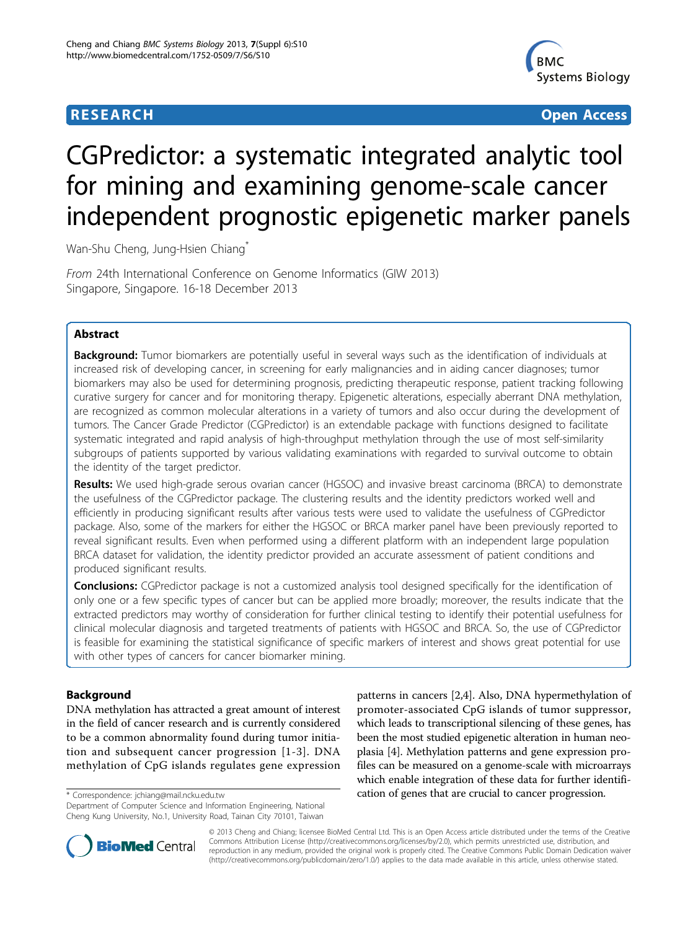# **RESEARCH CONSTRUCTION CONTROL**



# CGPredictor: a systematic integrated analytic tool for mining and examining genome-scale cancer independent prognostic epigenetic marker panels

Wan-Shu Cheng, Jung-Hsien Chiang<sup>\*</sup>

From 24th International Conference on Genome Informatics (GIW 2013) Singapore, Singapore. 16-18 December 2013

# Abstract

Background: Tumor biomarkers are potentially useful in several ways such as the identification of individuals at increased risk of developing cancer, in screening for early malignancies and in aiding cancer diagnoses; tumor biomarkers may also be used for determining prognosis, predicting therapeutic response, patient tracking following curative surgery for cancer and for monitoring therapy. Epigenetic alterations, especially aberrant DNA methylation, are recognized as common molecular alterations in a variety of tumors and also occur during the development of tumors. The Cancer Grade Predictor (CGPredictor) is an extendable package with functions designed to facilitate systematic integrated and rapid analysis of high-throughput methylation through the use of most self-similarity subgroups of patients supported by various validating examinations with regarded to survival outcome to obtain the identity of the target predictor.

Results: We used high-grade serous ovarian cancer (HGSOC) and invasive breast carcinoma (BRCA) to demonstrate the usefulness of the CGPredictor package. The clustering results and the identity predictors worked well and efficiently in producing significant results after various tests were used to validate the usefulness of CGPredictor package. Also, some of the markers for either the HGSOC or BRCA marker panel have been previously reported to reveal significant results. Even when performed using a different platform with an independent large population BRCA dataset for validation, the identity predictor provided an accurate assessment of patient conditions and produced significant results.

Conclusions: CGPredictor package is not a customized analysis tool designed specifically for the identification of only one or a few specific types of cancer but can be applied more broadly; moreover, the results indicate that the extracted predictors may worthy of consideration for further clinical testing to identify their potential usefulness for clinical molecular diagnosis and targeted treatments of patients with HGSOC and BRCA. So, the use of CGPredictor is feasible for examining the statistical significance of specific markers of interest and shows great potential for use with other types of cancers for cancer biomarker mining.

## Background

DNA methylation has attracted a great amount of interest in the field of cancer research and is currently considered to be a common abnormality found during tumor initiation and subsequent cancer progression [[1](#page-6-0)-[3](#page-6-0)]. DNA methylation of CpG islands regulates gene expression

Department of Computer Science and Information Engineering, National Cheng Kung University, No.1, University Road, Tainan City 70101, Taiwan

patterns in cancers [\[2,4](#page-6-0)]. Also, DNA hypermethylation of promoter-associated CpG islands of tumor suppressor, which leads to transcriptional silencing of these genes, has been the most studied epigenetic alteration in human neoplasia [[4\]](#page-6-0). Methylation patterns and gene expression profiles can be measured on a genome-scale with microarrays which enable integration of these data for further identifi- \* Correspondence: [jchiang@mail.ncku.edu.tw](mailto:jchiang@mail.ncku.edu.tw) cation of genes that are crucial to cancer progression.



© 2013 Cheng and Chiang; licensee BioMed Central Ltd. This is an Open Access article distributed under the terms of the Creative Commons Attribution License [\(http://creativecommons.org/licenses/by/2.0](http://creativecommons.org/licenses/by/2.0)), which permits unrestricted use, distribution, and reproduction in any medium, provided the original work is properly cited. The Creative Commons Public Domain Dedication waiver [\(http://creativecommons.org/publicdomain/zero/1.0/](http://creativecommons.org/publicdomain/zero/1.0/)) applies to the data made available in this article, unless otherwise stated.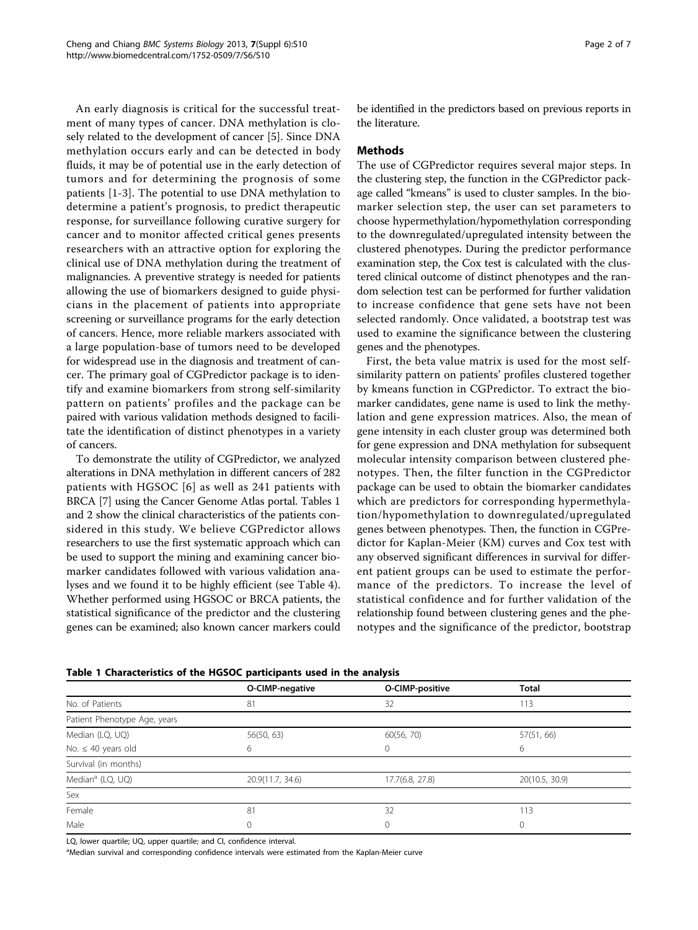An early diagnosis is critical for the successful treatment of many types of cancer. DNA methylation is closely related to the development of cancer [\[5](#page-6-0)]. Since DNA methylation occurs early and can be detected in body fluids, it may be of potential use in the early detection of tumors and for determining the prognosis of some patients [[1-3](#page-6-0)]. The potential to use DNA methylation to determine a patient's prognosis, to predict therapeutic response, for surveillance following curative surgery for cancer and to monitor affected critical genes presents researchers with an attractive option for exploring the clinical use of DNA methylation during the treatment of malignancies. A preventive strategy is needed for patients allowing the use of biomarkers designed to guide physicians in the placement of patients into appropriate screening or surveillance programs for the early detection of cancers. Hence, more reliable markers associated with a large population-base of tumors need to be developed for widespread use in the diagnosis and treatment of cancer. The primary goal of CGPredictor package is to identify and examine biomarkers from strong self-similarity pattern on patients' profiles and the package can be paired with various validation methods designed to facilitate the identification of distinct phenotypes in a variety of cancers.

To demonstrate the utility of CGPredictor, we analyzed alterations in DNA methylation in different cancers of 282 patients with HGSOC [[6](#page-6-0)] as well as 241 patients with BRCA [[7](#page-6-0)] using the Cancer Genome Atlas portal. Tables 1 and [2](#page-2-0) show the clinical characteristics of the patients considered in this study. We believe CGPredictor allows researchers to use the first systematic approach which can be used to support the mining and examining cancer biomarker candidates followed with various validation analyses and we found it to be highly efficient (see Table [4](#page-4-0)). Whether performed using HGSOC or BRCA patients, the statistical significance of the predictor and the clustering genes can be examined; also known cancer markers could be identified in the predictors based on previous reports in the literature.

## Methods

The use of CGPredictor requires several major steps. In the clustering step, the function in the CGPredictor package called "kmeans" is used to cluster samples. In the biomarker selection step, the user can set parameters to choose hypermethylation/hypomethylation corresponding to the downregulated/upregulated intensity between the clustered phenotypes. During the predictor performance examination step, the Cox test is calculated with the clustered clinical outcome of distinct phenotypes and the random selection test can be performed for further validation to increase confidence that gene sets have not been selected randomly. Once validated, a bootstrap test was used to examine the significance between the clustering genes and the phenotypes.

First, the beta value matrix is used for the most selfsimilarity pattern on patients' profiles clustered together by kmeans function in CGPredictor. To extract the biomarker candidates, gene name is used to link the methylation and gene expression matrices. Also, the mean of gene intensity in each cluster group was determined both for gene expression and DNA methylation for subsequent molecular intensity comparison between clustered phenotypes. Then, the filter function in the CGPredictor package can be used to obtain the biomarker candidates which are predictors for corresponding hypermethylation/hypomethylation to downregulated/upregulated genes between phenotypes. Then, the function in CGPredictor for Kaplan-Meier (KM) curves and Cox test with any observed significant differences in survival for different patient groups can be used to estimate the performance of the predictors. To increase the level of statistical confidence and for further validation of the relationship found between clustering genes and the phenotypes and the significance of the predictor, bootstrap

|                                                  | O-CIMP-negative | O-CIMP-positive | <b>Total</b>   |
|--------------------------------------------------|-----------------|-----------------|----------------|
| No. of Patients<br>81                            |                 | 32              | 113            |
| Patient Phenotype Age, years                     |                 |                 |                |
| Median (LQ, UQ)<br>56(50, 63)                    |                 | 60(56, 70)      | 57(51, 66)     |
| No. $\leq 40$ years old                          | 6               | 0               | 6              |
| Survival (in months)                             |                 |                 |                |
| Median <sup>a</sup> (LQ, UQ)<br>20.9(11.7, 34.6) |                 | 17.7(6.8, 27.8) | 20(10.5, 30.9) |
| Sex                                              |                 |                 |                |
| Female<br>81                                     |                 | 32              | 113            |
| Male                                             |                 | 0               | 0              |

Table 1 Characteristics of the HGSOC participants used in the analysis

LQ, lower quartile; UQ, upper quartile; and CI, confidence interval.

<sup>a</sup>Median survival and corresponding confidence intervals were estimated from the Kaplan-Meier curve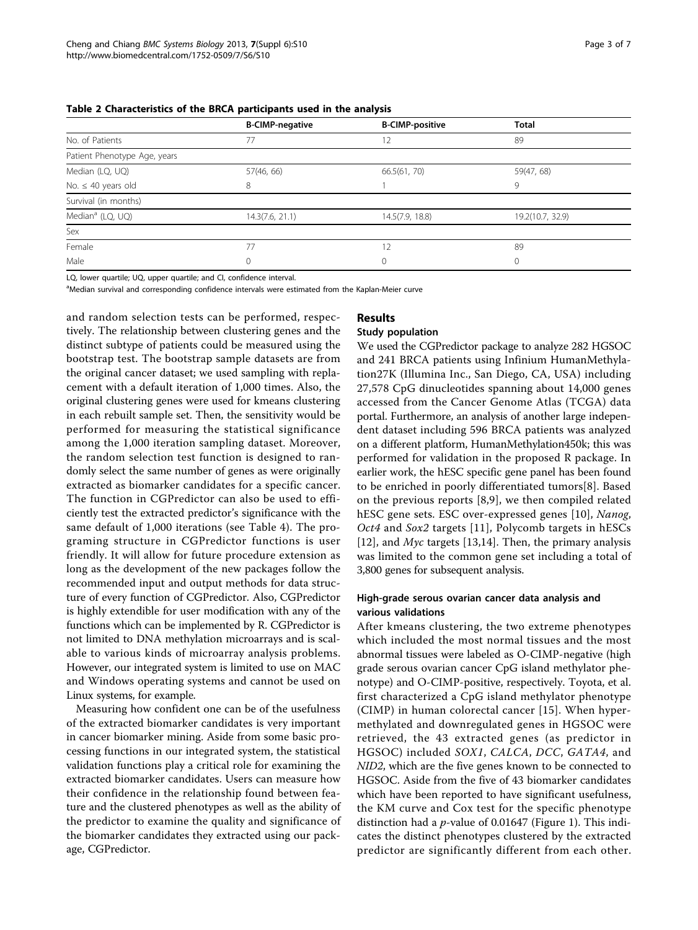<span id="page-2-0"></span>

|                                                 | <b>B-CIMP-negative</b> | <b>B-CIMP-positive</b> | <b>Total</b>     |  |
|-------------------------------------------------|------------------------|------------------------|------------------|--|
| No. of Patients                                 | 77                     |                        | 89               |  |
| Patient Phenotype Age, years                    |                        |                        |                  |  |
| Median (LQ, UQ)                                 | 57(46, 66)             | 66.5(61, 70)           | 59(47, 68)       |  |
| No. $\leq 40$ years old                         | 8                      |                        | 9                |  |
| Survival (in months)                            |                        |                        |                  |  |
| Median <sup>a</sup> (LQ, UQ)<br>14.3(7.6, 21.1) |                        | 14.5(7.9, 18.8)        | 19.2(10.7, 32.9) |  |
| Sex                                             |                        |                        |                  |  |
| Female                                          | 77                     | 12                     | 89               |  |
| Male<br>0                                       |                        | 0                      | $\Omega$         |  |

LQ, lower quartile; UQ, upper quartile; and CI, confidence interval.

<sup>a</sup>Median survival and corresponding confidence intervals were estimated from the Kaplan-Meier curve

and random selection tests can be performed, respectively. The relationship between clustering genes and the distinct subtype of patients could be measured using the bootstrap test. The bootstrap sample datasets are from the original cancer dataset; we used sampling with replacement with a default iteration of 1,000 times. Also, the original clustering genes were used for kmeans clustering in each rebuilt sample set. Then, the sensitivity would be performed for measuring the statistical significance among the 1,000 iteration sampling dataset. Moreover, the random selection test function is designed to randomly select the same number of genes as were originally extracted as biomarker candidates for a specific cancer. The function in CGPredictor can also be used to efficiently test the extracted predictor's significance with the same default of 1,000 iterations (see Table [4](#page-4-0)). The programing structure in CGPredictor functions is user friendly. It will allow for future procedure extension as long as the development of the new packages follow the recommended input and output methods for data structure of every function of CGPredictor. Also, CGPredictor is highly extendible for user modification with any of the functions which can be implemented by R. CGPredictor is not limited to DNA methylation microarrays and is scalable to various kinds of microarray analysis problems. However, our integrated system is limited to use on MAC and Windows operating systems and cannot be used on Linux systems, for example.

Measuring how confident one can be of the usefulness of the extracted biomarker candidates is very important in cancer biomarker mining. Aside from some basic processing functions in our integrated system, the statistical validation functions play a critical role for examining the extracted biomarker candidates. Users can measure how their confidence in the relationship found between feature and the clustered phenotypes as well as the ability of the predictor to examine the quality and significance of the biomarker candidates they extracted using our package, CGPredictor.

## Results

### Study population

We used the CGPredictor package to analyze 282 HGSOC and 241 BRCA patients using Infinium HumanMethylation27K (Illumina Inc., San Diego, CA, USA) including 27,578 CpG dinucleotides spanning about 14,000 genes accessed from the Cancer Genome Atlas (TCGA) data portal. Furthermore, an analysis of another large independent dataset including 596 BRCA patients was analyzed on a different platform, HumanMethylation450k; this was performed for validation in the proposed R package. In earlier work, the hESC specific gene panel has been found to be enriched in poorly differentiated tumors[[8](#page-6-0)]. Based on the previous reports [\[8](#page-6-0),[9\]](#page-6-0), we then compiled related hESC gene sets. ESC over-expressed genes [[10\]](#page-6-0), Nanog, Oct4 and Sox2 targets [\[11\]](#page-6-0), Polycomb targets in hESCs [[12\]](#page-6-0), and Myc targets [\[13,14](#page-6-0)]. Then, the primary analysis was limited to the common gene set including a total of 3,800 genes for subsequent analysis.

## High-grade serous ovarian cancer data analysis and various validations

After kmeans clustering, the two extreme phenotypes which included the most normal tissues and the most abnormal tissues were labeled as O-CIMP-negative (high grade serous ovarian cancer CpG island methylator phenotype) and O-CIMP-positive, respectively. Toyota, et al. first characterized a CpG island methylator phenotype (CIMP) in human colorectal cancer [[15](#page-6-0)]. When hypermethylated and downregulated genes in HGSOC were retrieved, the 43 extracted genes (as predictor in HGSOC) included SOX1, CALCA, DCC, GATA4, and NID2, which are the five genes known to be connected to HGSOC. Aside from the five of 43 biomarker candidates which have been reported to have significant usefulness, the KM curve and Cox test for the specific phenotype distinction had a  $p$ -value of 0.01647 (Figure [1](#page-3-0)). This indicates the distinct phenotypes clustered by the extracted predictor are significantly different from each other.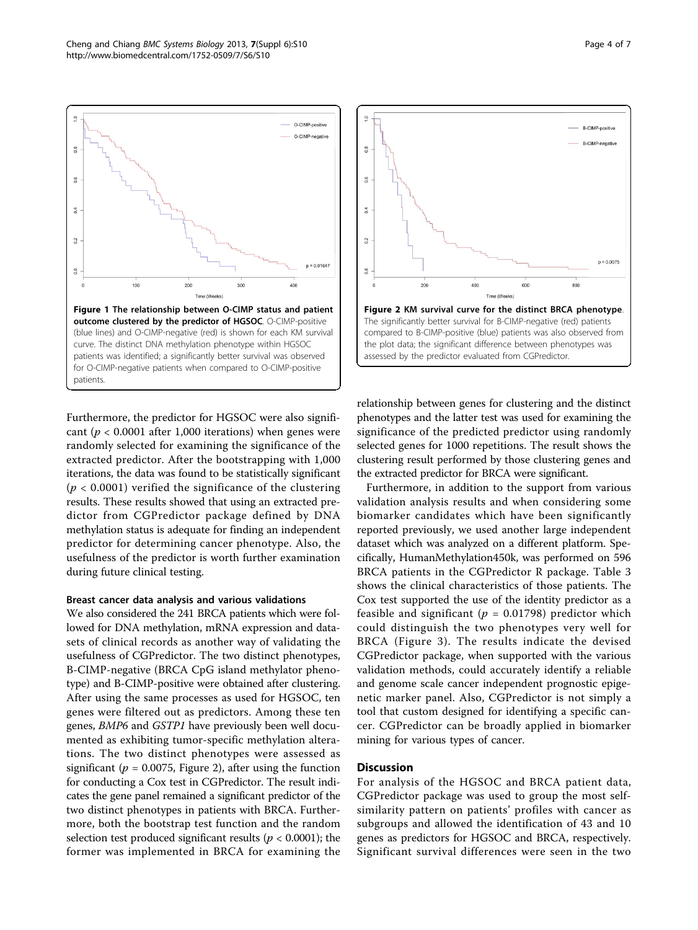<span id="page-3-0"></span>

Furthermore, the predictor for HGSOC were also significant ( $p < 0.0001$  after 1,000 iterations) when genes were randomly selected for examining the significance of the extracted predictor. After the bootstrapping with 1,000 iterations, the data was found to be statistically significant  $(p < 0.0001)$  verified the significance of the clustering results. These results showed that using an extracted predictor from CGPredictor package defined by DNA methylation status is adequate for finding an independent predictor for determining cancer phenotype. Also, the usefulness of the predictor is worth further examination during future clinical testing.

#### Breast cancer data analysis and various validations

We also considered the 241 BRCA patients which were followed for DNA methylation, mRNA expression and datasets of clinical records as another way of validating the usefulness of CGPredictor. The two distinct phenotypes, B-CIMP-negative (BRCA CpG island methylator phenotype) and B-CIMP-positive were obtained after clustering. After using the same processes as used for HGSOC, ten genes were filtered out as predictors. Among these ten genes, BMP6 and GSTP1 have previously been well documented as exhibiting tumor-specific methylation alterations. The two distinct phenotypes were assessed as significant ( $p = 0.0075$ , Figure 2), after using the function for conducting a Cox test in CGPredictor. The result indicates the gene panel remained a significant predictor of the two distinct phenotypes in patients with BRCA. Furthermore, both the bootstrap test function and the random selection test produced significant results ( $p < 0.0001$ ); the former was implemented in BRCA for examining the



relationship between genes for clustering and the distinct phenotypes and the latter test was used for examining the significance of the predicted predictor using randomly selected genes for 1000 repetitions. The result shows the clustering result performed by those clustering genes and the extracted predictor for BRCA were significant.

Furthermore, in addition to the support from various validation analysis results and when considering some biomarker candidates which have been significantly reported previously, we used another large independent dataset which was analyzed on a different platform. Specifically, HumanMethylation450k, was performed on 596 BRCA patients in the CGPredictor R package. Table [3](#page-4-0) shows the clinical characteristics of those patients. The Cox test supported the use of the identity predictor as a feasible and significant ( $p = 0.01798$ ) predictor which could distinguish the two phenotypes very well for BRCA (Figure [3\)](#page-4-0). The results indicate the devised CGPredictor package, when supported with the various validation methods, could accurately identify a reliable and genome scale cancer independent prognostic epigenetic marker panel. Also, CGPredictor is not simply a tool that custom designed for identifying a specific cancer. CGPredictor can be broadly applied in biomarker mining for various types of cancer.

#### Discussion

For analysis of the HGSOC and BRCA patient data, CGPredictor package was used to group the most selfsimilarity pattern on patients' profiles with cancer as subgroups and allowed the identification of 43 and 10 genes as predictors for HGSOC and BRCA, respectively. Significant survival differences were seen in the two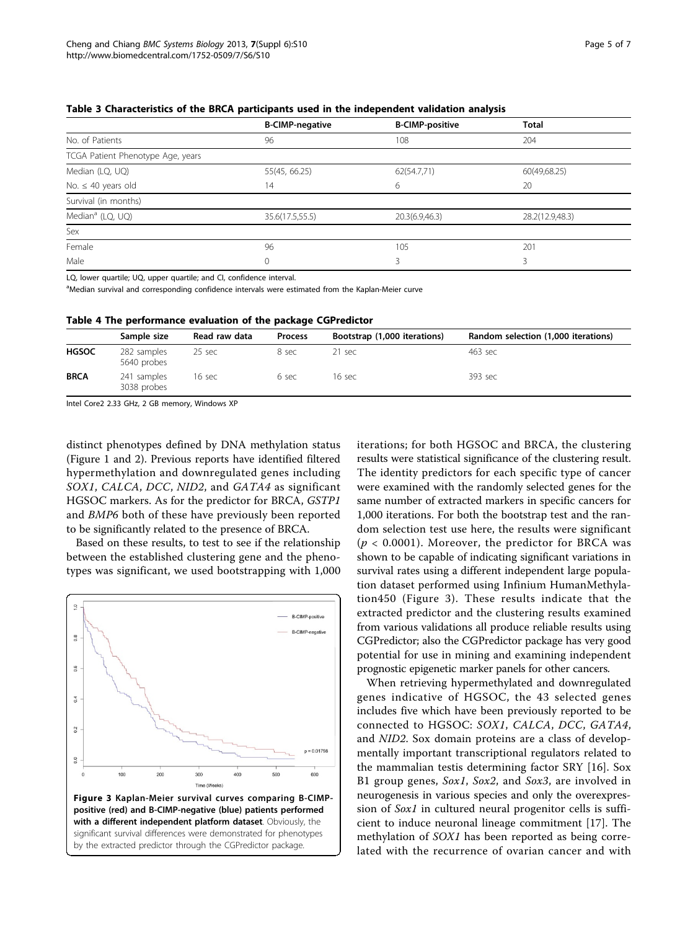|                                   | <b>B-CIMP-negative</b> | <b>B-CIMP-positive</b> | <b>Total</b>    |
|-----------------------------------|------------------------|------------------------|-----------------|
| No. of Patients                   | 96                     | 108                    | 204             |
| TCGA Patient Phenotype Age, years |                        |                        |                 |
| Median (LQ, UQ)                   | 55(45, 66.25)          | 62(54.7,71)            | 60(49,68.25)    |
| No. $\leq 40$ years old           | 14                     | 6                      | 20              |
| Survival (in months)              |                        |                        |                 |
| Median <sup>a</sup> (LQ, UQ)      | 35.6(17.5,55.5)        | 20.3(6.9,46.3)         | 28.2(12.9,48.3) |
| Sex                               |                        |                        |                 |
| Female                            | 96                     | 105                    | 201             |
| Male                              | 0                      |                        |                 |

<span id="page-4-0"></span>Table 3 Characteristics of the BRCA participants used in the independent validation analysis

LQ, lower quartile; UQ, upper quartile; and CI, confidence interval.

<sup>a</sup>Median survival and corresponding confidence intervals were estimated from the Kaplan-Meier curve

|  | Table 4 The performance evaluation of the package CGPredictor |  |  |  |  |
|--|---------------------------------------------------------------|--|--|--|--|
|--|---------------------------------------------------------------|--|--|--|--|

|              | Sample size                | Read raw data | <b>Process</b> | Bootstrap (1,000 iterations) | Random selection (1,000 iterations) |
|--------------|----------------------------|---------------|----------------|------------------------------|-------------------------------------|
| <b>HGSOC</b> | 282 samples<br>5640 probes | 25 sec        | 8 sec          | 21 sec                       | 463 sec                             |
| <b>BRCA</b>  | 241 samples<br>3038 probes | 16 sec        | 6 sec          | 16 sec                       | 393 sec                             |
|              |                            |               |                |                              |                                     |

Intel Core2 2.33 GHz, 2 GB memory, Windows XP

distinct phenotypes defined by DNA methylation status (Figure [1](#page-3-0) and [2](#page-3-0)). Previous reports have identified filtered hypermethylation and downregulated genes including SOX1, CALCA, DCC, NID2, and GATA4 as significant HGSOC markers. As for the predictor for BRCA, GSTP1 and BMP6 both of these have previously been reported to be significantly related to the presence of BRCA.

Based on these results, to test to see if the relationship between the established clustering gene and the phenotypes was significant, we used bootstrapping with 1,000



iterations; for both HGSOC and BRCA, the clustering results were statistical significance of the clustering result. The identity predictors for each specific type of cancer were examined with the randomly selected genes for the same number of extracted markers in specific cancers for 1,000 iterations. For both the bootstrap test and the random selection test use here, the results were significant  $(p < 0.0001)$ . Moreover, the predictor for BRCA was shown to be capable of indicating significant variations in survival rates using a different independent large population dataset performed using Infinium HumanMethylation450 (Figure 3). These results indicate that the extracted predictor and the clustering results examined from various validations all produce reliable results using CGPredictor; also the CGPredictor package has very good potential for use in mining and examining independent prognostic epigenetic marker panels for other cancers.

When retrieving hypermethylated and downregulated genes indicative of HGSOC, the 43 selected genes includes five which have been previously reported to be connected to HGSOC: SOX1, CALCA, DCC, GATA4, and NID2. Sox domain proteins are a class of developmentally important transcriptional regulators related to the mammalian testis determining factor SRY [[16\]](#page-6-0). Sox B1 group genes, Sox1, Sox2, and Sox3, are involved in neurogenesis in various species and only the overexpression of Sox1 in cultured neural progenitor cells is sufficient to induce neuronal lineage commitment [\[17](#page-6-0)]. The methylation of SOX1 has been reported as being correlated with the recurrence of ovarian cancer and with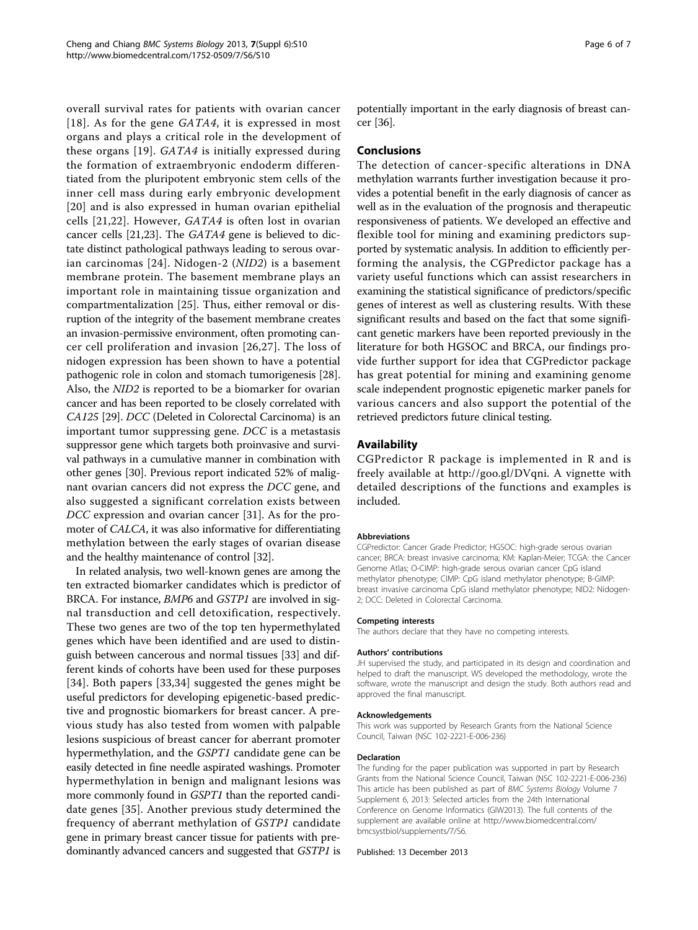overall survival rates for patients with ovarian cancer [[18\]](#page-6-0). As for the gene  $GATA4$ , it is expressed in most organs and plays a critical role in the development of these organs [\[19](#page-6-0)]. GATA4 is initially expressed during the formation of extraembryonic endoderm differentiated from the pluripotent embryonic stem cells of the inner cell mass during early embryonic development [[20](#page-6-0)] and is also expressed in human ovarian epithelial cells [[21](#page-6-0),[22\]](#page-6-0). However, GATA4 is often lost in ovarian cancer cells [[21,23\]](#page-6-0). The GATA4 gene is believed to dictate distinct pathological pathways leading to serous ovarian carcinomas [[24\]](#page-6-0). Nidogen-2 (NID2) is a basement membrane protein. The basement membrane plays an important role in maintaining tissue organization and compartmentalization [[25\]](#page-6-0). Thus, either removal or disruption of the integrity of the basement membrane creates an invasion-permissive environment, often promoting cancer cell proliferation and invasion [\[26,27\]](#page-6-0). The loss of nidogen expression has been shown to have a potential pathogenic role in colon and stomach tumorigenesis [[28](#page-6-0)]. Also, the NID2 is reported to be a biomarker for ovarian cancer and has been reported to be closely correlated with CA125 [\[29\]](#page-6-0). DCC (Deleted in Colorectal Carcinoma) is an important tumor suppressing gene. DCC is a metastasis suppressor gene which targets both proinvasive and survival pathways in a cumulative manner in combination with other genes [\[30\]](#page-6-0). Previous report indicated 52% of malignant ovarian cancers did not express the DCC gene, and also suggested a significant correlation exists between DCC expression and ovarian cancer [\[31](#page-6-0)]. As for the promoter of CALCA, it was also informative for differentiating methylation between the early stages of ovarian disease and the healthy maintenance of control [\[32\]](#page-6-0).

In related analysis, two well-known genes are among the ten extracted biomarker candidates which is predictor of BRCA. For instance, BMP6 and GSTP1 are involved in signal transduction and cell detoxification, respectively. These two genes are two of the top ten hypermethylated genes which have been identified and are used to distinguish between cancerous and normal tissues [[33\]](#page-6-0) and different kinds of cohorts have been used for these purposes [[34](#page-6-0)]. Both papers [\[33,34](#page-6-0)] suggested the genes might be useful predictors for developing epigenetic-based predictive and prognostic biomarkers for breast cancer. A previous study has also tested from women with palpable lesions suspicious of breast cancer for aberrant promoter hypermethylation, and the GSPT1 candidate gene can be easily detected in fine needle aspirated washings. Promoter hypermethylation in benign and malignant lesions was more commonly found in *GSPT1* than the reported candidate genes [[35\]](#page-6-0). Another previous study determined the frequency of aberrant methylation of GSTP1 candidate gene in primary breast cancer tissue for patients with predominantly advanced cancers and suggested that GSTP1 is

potentially important in the early diagnosis of breast cancer [[36](#page-6-0)].

## Conclusions

The detection of cancer-specific alterations in DNA methylation warrants further investigation because it provides a potential benefit in the early diagnosis of cancer as well as in the evaluation of the prognosis and therapeutic responsiveness of patients. We developed an effective and flexible tool for mining and examining predictors supported by systematic analysis. In addition to efficiently performing the analysis, the CGPredictor package has a variety useful functions which can assist researchers in examining the statistical significance of predictors/specific genes of interest as well as clustering results. With these significant results and based on the fact that some significant genetic markers have been reported previously in the literature for both HGSOC and BRCA, our findings provide further support for idea that CGPredictor package has great potential for mining and examining genome scale independent prognostic epigenetic marker panels for various cancers and also support the potential of the retrieved predictors future clinical testing.

## Availability

CGPredictor R package is implemented in R and is freely available at [http://goo.gl/DVqni.](http://goo.gl/DVqni) A vignette with detailed descriptions of the functions and examples is included.

#### Abbreviations

CGPredictor: Cancer Grade Predictor; HGSOC: high-grade serous ovarian cancer; BRCA: breast invasive carcinoma; KM: Kaplan-Meier; TCGA: the Cancer Genome Atlas; O-CIMP: high-grade serous ovarian cancer CpG island methylator phenotype; CIMP: CpG island methylator phenotype; B-GIMP: breast invasive carcinoma CpG island methylator phenotype; NID2: Nidogen-2; DCC: Deleted in Colorectal Carcinoma.

# Competing interests

The authors declare that they have no competing interests.

#### Authors' contributions

JH supervised the study, and participated in its design and coordination and helped to draft the manuscript. WS developed the methodology, wrote the software, wrote the manuscript and design the study. Both authors read and approved the final manuscript.

#### Acknowledgements

This work was supported by Research Grants from the National Science Council, Taiwan (NSC 102-2221-E-006-236)

#### Declaration

The funding for the paper publication was supported in part by Research Grants from the National Science Council, Taiwan (NSC 102-2221-E-006-236) This article has been published as part of BMC Systems Biology Volume 7 Supplement 6, 2013: Selected articles from the 24th International Conference on Genome Informatics (GIW2013). The full contents of the supplement are available online at [http://www.biomedcentral.com/](http://www.biomedcentral.com/bmcsystbiol/supplements/7/S6) [bmcsystbiol/supplements/7/S6.](http://www.biomedcentral.com/bmcsystbiol/supplements/7/S6)

Published: 13 December 2013